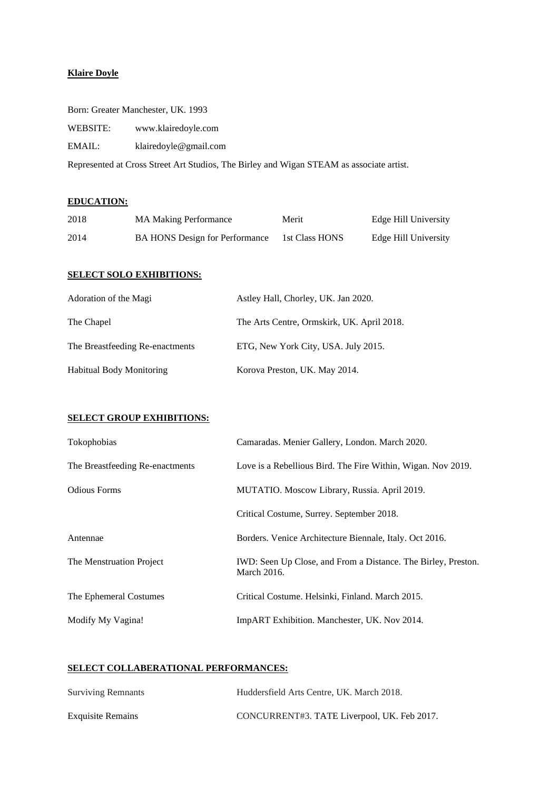## **Klaire Doyle**

|  |  | Born: Greater Manchester, UK. 1993 |  |  |
|--|--|------------------------------------|--|--|
|--|--|------------------------------------|--|--|

WEBSITE: www.klairedoyle.com

EMAIL: klairedoyle@gmail.com

Represented at Cross Street Art Studios, The Birley and Wigan STEAM as associate artist.

# **EDUCATION:**

| 2018 | <b>MA Making Performance</b>          | Merit          | Edge Hill University |
|------|---------------------------------------|----------------|----------------------|
| 2014 | <b>BA HONS</b> Design for Performance | 1st Class HONS | Edge Hill University |

### **SELECT SOLO EXHIBITIONS:**

| Adoration of the Magi           | Astley Hall, Chorley, UK. Jan 2020.        |
|---------------------------------|--------------------------------------------|
| The Chapel                      | The Arts Centre, Ormskirk, UK. April 2018. |
| The Breastfeeding Re-enactments | ETG, New York City, USA. July 2015.        |
| <b>Habitual Body Monitoring</b> | Korova Preston, UK. May 2014.              |

# **SELECT GROUP EXHIBITIONS:**

| Tokophobias                     | Camaradas. Menier Gallery, London. March 2020.                               |
|---------------------------------|------------------------------------------------------------------------------|
| The Breastfeeding Re-enactments | Love is a Rebellious Bird. The Fire Within, Wigan. Nov 2019.                 |
| <b>Odious Forms</b>             | MUTATIO. Moscow Library, Russia. April 2019.                                 |
|                                 | Critical Costume, Surrey. September 2018.                                    |
| Antennae                        | Borders. Venice Architecture Biennale, Italy. Oct 2016.                      |
| The Menstruation Project        | IWD: Seen Up Close, and From a Distance. The Birley, Preston.<br>March 2016. |
| The Ephemeral Costumes          | Critical Costume. Helsinki, Finland. March 2015.                             |
| Modify My Vagina!               | ImpART Exhibition. Manchester, UK. Nov 2014.                                 |

### **SELECT COLLABERATIONAL PERFORMANCES:**

| <b>Surviving Remnants</b> | Huddersfield Arts Centre, UK. March 2018.   |
|---------------------------|---------------------------------------------|
| <b>Exquisite Remains</b>  | CONCURRENT#3. TATE Liverpool, UK. Feb 2017. |